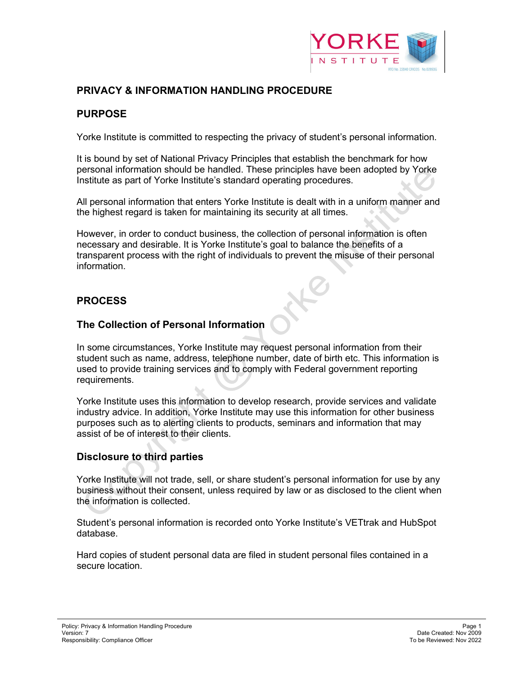

# **PRIVACY & INFORMATION HANDLING PROCEDURE**

### **PURPOSE**

Yorke Institute is committed to respecting the privacy of student's personal information.

It is bound by set of National Privacy Principles that establish the benchmark for how personal information should be handled. These principles have been adopted by Yorke Institute as part of Yorke Institute's standard operating procedures.

All personal information that enters Yorke Institute is dealt with in a uniform manner and the highest regard is taken for maintaining its security at all times.

However, in order to conduct business, the collection of personal information is often necessary and desirable. It is Yorke Institute's goal to balance the benefits of a transparent process with the right of individuals to prevent the misuse of their personal information.

# **PROCESS**

#### **The Collection of Personal Information**

In some circumstances, Yorke Institute may request personal information from their student such as name, address, telephone number, date of birth etc. This information is used to provide training services and to comply with Federal government reporting requirements.

Yorke Institute uses this information to develop research, provide services and validate industry advice. In addition, Yorke Institute may use this information for other business purposes such as to alerting clients to products, seminars and information that may assist of be of interest to their clients.

### **Disclosure to third parties**

Yorke Institute will not trade, sell, or share student's personal information for use by any business without their consent, unless required by law or as disclosed to the client when the information is collected.

Student's personal information is recorded onto Yorke Institute's VETtrak and HubSpot database.

Hard copies of student personal data are filed in student personal files contained in a secure location.